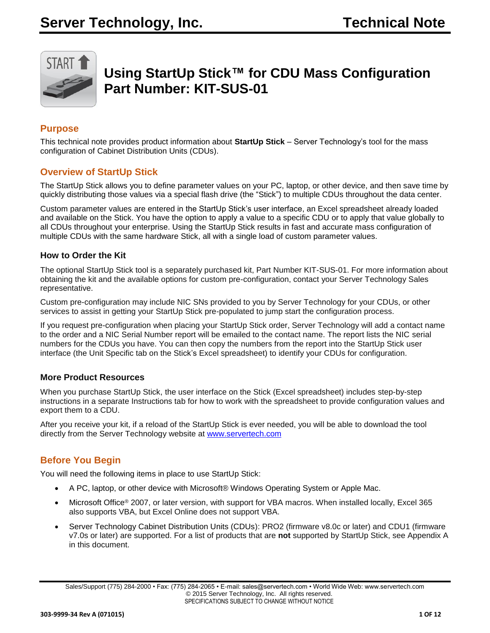

# **Using StartUp Stick™ for CDU Mass Configuration Part Number: KIT-SUS-01**

# **Purpose**

This technical note provides product information about **StartUp Stick** – Server Technology's tool for the mass configuration of Cabinet Distribution Units (CDUs).

## **Overview of StartUp Stick**

The StartUp Stick allows you to define parameter values on your PC, laptop, or other device, and then save time by quickly distributing those values via a special flash drive (the "Stick") to multiple CDUs throughout the data center.

Custom parameter values are entered in the StartUp Stick's user interface, an Excel spreadsheet already loaded and available on the Stick. You have the option to apply a value to a specific CDU or to apply that value globally to all CDUs throughout your enterprise. Using the StartUp Stick results in fast and accurate mass configuration of multiple CDUs with the same hardware Stick, all with a single load of custom parameter values.

#### **How to Order the Kit**

The optional StartUp Stick tool is a separately purchased kit, Part Number KIT-SUS-01. For more information about obtaining the kit and the available options for custom pre-configuration, contact your Server Technology Sales representative.

Custom pre-configuration may include NIC SNs provided to you by Server Technology for your CDUs, or other services to assist in getting your StartUp Stick pre-populated to jump start the configuration process.

If you request pre-configuration when placing your StartUp Stick order, Server Technology will add a contact name to the order and a NIC Serial Number report will be emailed to the contact name. The report lists the NIC serial numbers for the CDUs you have. You can then copy the numbers from the report into the StartUp Stick user interface (the Unit Specific tab on the Stick's Excel spreadsheet) to identify your CDUs for configuration.

#### **More Product Resources**

When you purchase StartUp Stick, the user interface on the Stick (Excel spreadsheet) includes step-by-step instructions in a separate Instructions tab for how to work with the spreadsheet to provide configuration values and export them to a CDU.

After you receive your kit, if a reload of the StartUp Stick is ever needed, you will be able to download the tool directly from the Server Technology website at [www.servertech.com](http://www.servertech.com/)

# **Before You Begin**

You will need the following items in place to use StartUp Stick:

- A PC, laptop, or other device with Microsoft® Windows Operating System or Apple Mac.
- Microsoft Office® 2007, or later version, with support for VBA macros. When installed locally, Excel 365 also supports VBA, but Excel Online does not support VBA.
- Server Technology Cabinet Distribution Units (CDUs): PRO2 (firmware v8.0c or later) and CDU1 (firmware v7.0s or later) are supported. For a list of products that are **not** supported by StartUp Stick, see Appendix A in this document.

Sales/Support (775) 284-2000 • Fax: (775) 284-2065 • E-mail: sales@servertech.com • World Wide Web: www.servertech.com © 2015 Server Technology, Inc. All rights reserved. SPECIFICATIONS SUBJECT TO CHANGE WITHOUT NOTICE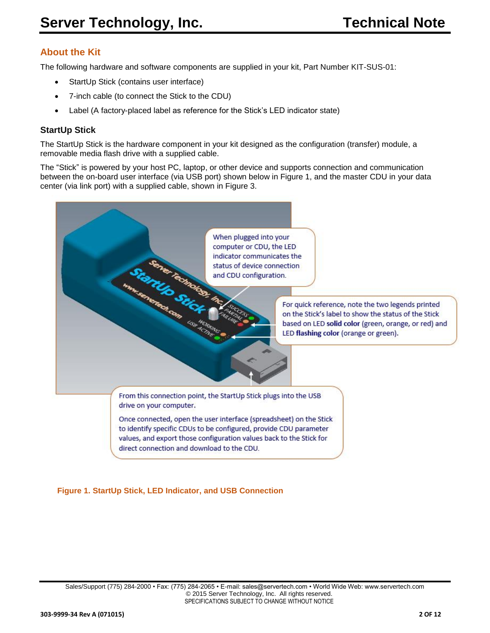# **About the Kit**

The following hardware and software components are supplied in your kit, Part Number KIT-SUS-01:

- StartUp Stick (contains user interface)
- 7-inch cable (to connect the Stick to the CDU)
- Label (A factory-placed label as reference for the Stick's LED indicator state)

#### **StartUp Stick**

The StartUp Stick is the hardware component in your kit designed as the configuration (transfer) module, a removable media flash drive with a supplied cable.

The "Stick" is powered by your host PC, laptop, or other device and supports connection and communication between the on-board user interface (via USB port) shown below in Figure 1, and the master CDU in your data center (via link port) with a supplied cable, shown in Figure 3.



#### **Figure 1. StartUp Stick, LED Indicator, and USB Connection**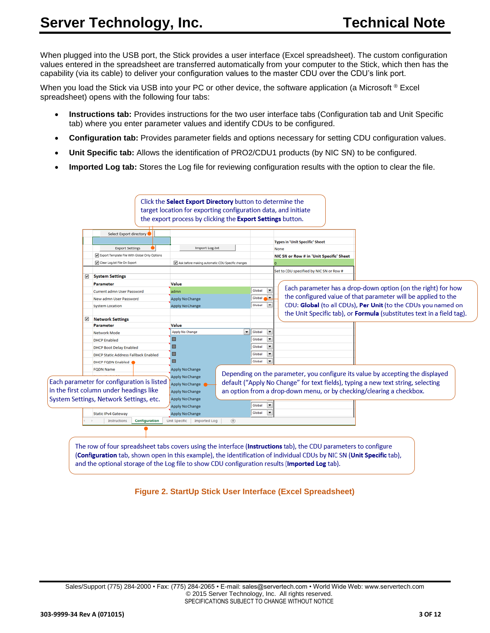When plugged into the USB port, the Stick provides a user interface (Excel spreadsheet). The custom configuration values entered in the spreadsheet are transferred automatically from your computer to the Stick, which then has the capability (via its cable) to deliver your configuration values to the master CDU over the CDU's link port.

When you load the Stick via USB into your PC or other device, the software application (a Microsoft ® Excel spreadsheet) opens with the following four tabs:

- **Instructions tab:** Provides instructions for the two user interface tabs (Configuration tab and Unit Specific tab) where you enter parameter values and identify CDUs to be configured.
- **Configuration tab:** Provides parameter fields and options necessary for setting CDU configuration values.
- **Unit Specific tab:** Allows the identification of PRO2/CDU1 products (by NIC SN) to be configured.
- **Imported Log tab:** Stores the Log file for reviewing configuration results with the option to clear the file.

|   | Select Export directory                       |                                                  |                                                                                  |
|---|-----------------------------------------------|--------------------------------------------------|----------------------------------------------------------------------------------|
|   |                                               |                                                  | <b>Types in 'Unit Specific' Sheet</b>                                            |
|   | <b>Export Settings</b>                        | Import Log.txt                                   | None                                                                             |
|   | Export Template File With Global Only Options |                                                  | NIC SN or Row # in 'Unit Specific' Sheet                                         |
|   | Clear Log.bt File On Export                   | Ask before making automatic CDU Specific changes |                                                                                  |
| ⊡ | <b>System Settings</b>                        |                                                  | Set to CDU specified by NIC SN or Row #                                          |
|   |                                               |                                                  |                                                                                  |
|   | Parameter                                     | Value                                            | Each parameter has a drop-down option (on the right) for how<br>٠<br>Global      |
|   | Current admn User Password                    | admn                                             | the configured value of that parameter will be applied to the<br>Global &        |
|   | New admn User Password                        | Apply No Change                                  | CDU: Global (to all CDUs), Per Unit (to the CDUs you named on<br>Global          |
|   | <b>System Location</b>                        | Apply No Change                                  |                                                                                  |
| ☑ | <b>Network Settings</b>                       |                                                  | the Unit Specific tab), or <b>Formula</b> (substitutes text in a field tag).     |
|   | Parameter                                     | Value                                            |                                                                                  |
|   | Network Mode                                  | $\blacktriangledown$<br>Apply No Change          | Global<br>$\overline{\phantom{a}}$                                               |
|   | <b>DHCP</b> Enabled                           | ▣                                                | $\overline{\phantom{a}}$<br>Global                                               |
|   | <b>DHCP Boot Delay Enabled</b>                | □                                                | ×<br>Global                                                                      |
|   | <b>DHCP Static Address Fallback Enabled</b>   | ▣                                                | ×<br>Global                                                                      |
|   | DHCP FQDN Enabled                             | π                                                | Global<br>٠                                                                      |
|   | <b>FODN Name</b>                              | Apply No Change                                  |                                                                                  |
|   |                                               | Apply No Change                                  | Depending on the parameter, you configure its value by accepting the displayed   |
|   | Each parameter for configuration is listed    | Apply No Change                                  | default ("Apply No Change" for text fields), typing a new text string, selecting |
|   | in the first column under headings like       | Apply No Change                                  | an option from a drop-down menu, or by checking/clearing a checkbox.             |
|   | System Settings, Network Settings, etc.       | Apply No Change                                  |                                                                                  |
|   |                                               | Apply No Change                                  | Global<br>$\overline{\phantom{a}}$                                               |
|   | <b>Static IPv4 Gateway</b>                    | Apply No Change                                  | $\overline{\phantom{a}}$<br>Global                                               |
|   | Instructions<br>Configuration                 | $\circledast$<br>Unit Specific<br>Imported Log   |                                                                                  |
|   |                                               |                                                  |                                                                                  |

**Figure 2. StartUp Stick User Interface (Excel Spreadsheet)**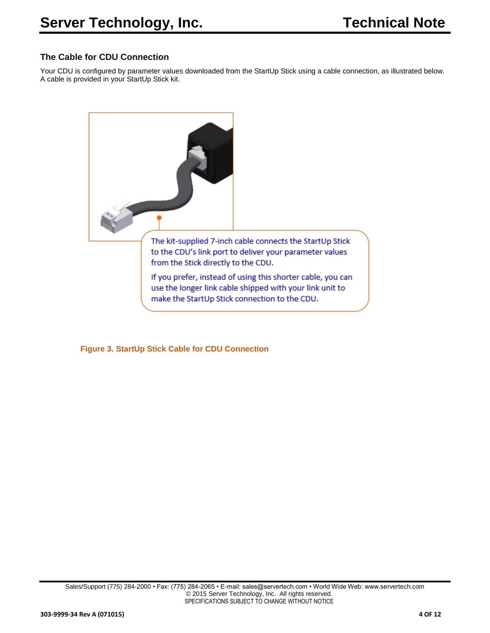#### **The Cable for CDU Connection**

Your CDU is configured by parameter values downloaded from the StartUp Stick using a cable connection, as illustrated below. A cable is provided in your StartUp Stick kit.



 **Figure 3. StartUp Stick Cable for CDU Connection**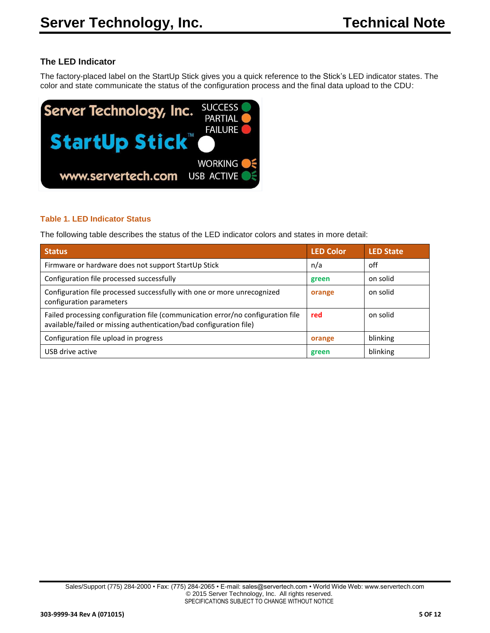## **The LED Indicator**

The factory-placed label on the StartUp Stick gives you a quick reference to the Stick's LED indicator states. The color and state communicate the status of the configuration process and the final data upload to the CDU:



#### **Table 1. LED Indicator Status**

The following table describes the status of the LED indicator colors and states in more detail:

| <b>Status</b>                                                                                                                                         | <b>LED Color</b> | <b>LED State</b> |
|-------------------------------------------------------------------------------------------------------------------------------------------------------|------------------|------------------|
| Firmware or hardware does not support StartUp Stick                                                                                                   | n/a              | off              |
| Configuration file processed successfully                                                                                                             | green            | on solid         |
| Configuration file processed successfully with one or more unrecognized<br>configuration parameters                                                   | orange           | on solid         |
| Failed processing configuration file (communication error/no configuration file<br>available/failed or missing authentication/bad configuration file) | red              | on solid         |
| Configuration file upload in progress                                                                                                                 | orange           | blinking         |
| USB drive active                                                                                                                                      | green            | blinking         |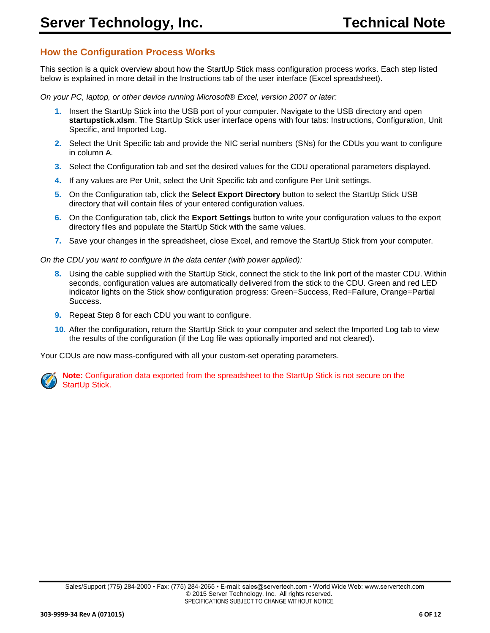# **How the Configuration Process Works**

This section is a quick overview about how the StartUp Stick mass configuration process works. Each step listed below is explained in more detail in the Instructions tab of the user interface (Excel spreadsheet).

*On your PC, laptop, or other device running Microsoft® Excel, version 2007 or later:*

- **1.** Insert the StartUp Stick into the USB port of your computer. Navigate to the USB directory and open **startupstick.xlsm**. The StartUp Stick user interface opens with four tabs: Instructions, Configuration, Unit Specific, and Imported Log.
- **2.** Select the Unit Specific tab and provide the NIC serial numbers (SNs) for the CDUs you want to configure in column A.
- **3.** Select the Configuration tab and set the desired values for the CDU operational parameters displayed.
- **4.** If any values are Per Unit, select the Unit Specific tab and configure Per Unit settings.
- **5.** On the Configuration tab, click the **Select Export Directory** button to select the StartUp Stick USB directory that will contain files of your entered configuration values.
- **6.** On the Configuration tab, click the **Export Settings** button to write your configuration values to the export directory files and populate the StartUp Stick with the same values.
- **7.** Save your changes in the spreadsheet, close Excel, and remove the StartUp Stick from your computer.

*On the CDU you want to configure in the data center (with power applied):*

- **8.** Using the cable supplied with the StartUp Stick, connect the stick to the link port of the master CDU. Within seconds, configuration values are automatically delivered from the stick to the CDU. Green and red LED indicator lights on the Stick show configuration progress: Green=Success, Red=Failure, Orange=Partial Success.
- **9.** Repeat Step 8 for each CDU you want to configure.
- **10.** After the configuration, return the StartUp Stick to your computer and select the Imported Log tab to view the results of the configuration (if the Log file was optionally imported and not cleared).

Your CDUs are now mass-configured with all your custom-set operating parameters.



 **Note:** Configuration data exported from the spreadsheet to the StartUp Stick is not secure on the StartUp Stick.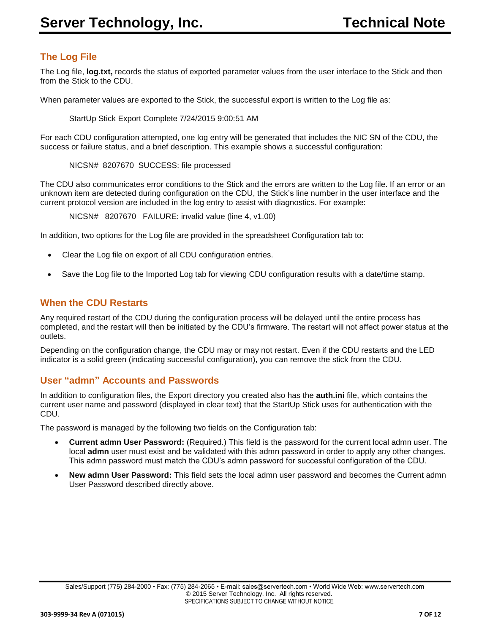# **The Log File**

The Log file, **log.txt,** records the status of exported parameter values from the user interface to the Stick and then from the Stick to the CDU.

When parameter values are exported to the Stick, the successful export is written to the Log file as:

StartUp Stick Export Complete 7/24/2015 9:00:51 AM

For each CDU configuration attempted, one log entry will be generated that includes the NIC SN of the CDU, the success or failure status, and a brief description. This example shows a successful configuration:

NICSN# 8207670 SUCCESS: file processed

The CDU also communicates error conditions to the Stick and the errors are written to the Log file. If an error or an unknown item are detected during configuration on the CDU, the Stick's line number in the user interface and the current protocol version are included in the log entry to assist with diagnostics. For example:

NICSN# 8207670 FAILURE: invalid value (line 4, v1.00)

In addition, two options for the Log file are provided in the spreadsheet Configuration tab to:

- Clear the Log file on export of all CDU configuration entries.
- Save the Log file to the Imported Log tab for viewing CDU configuration results with a date/time stamp.

#### **When the CDU Restarts**

Any required restart of the CDU during the configuration process will be delayed until the entire process has completed, and the restart will then be initiated by the CDU's firmware. The restart will not affect power status at the outlets.

Depending on the configuration change, the CDU may or may not restart. Even if the CDU restarts and the LED indicator is a solid green (indicating successful configuration), you can remove the stick from the CDU.

#### **User "admn" Accounts and Passwords**

In addition to configuration files, the Export directory you created also has the **auth.ini** file, which contains the current user name and password (displayed in clear text) that the StartUp Stick uses for authentication with the CDU.

The password is managed by the following two fields on the Configuration tab:

- **Current admn User Password:** (Required.) This field is the password for the current local admn user. The local **admn** user must exist and be validated with this admn password in order to apply any other changes. This admn password must match the CDU's admn password for successful configuration of the CDU.
- **New admn User Password:** This field sets the local admn user password and becomes the Current admn User Password described directly above.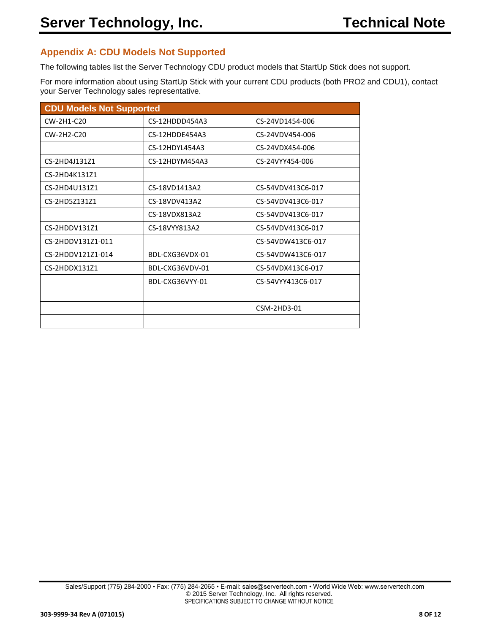## **Appendix A: CDU Models Not Supported**

The following tables list the Server Technology CDU product models that StartUp Stick does not support.

For more information about using StartUp Stick with your current CDU products (both PRO2 and CDU1), contact your Server Technology sales representative.

| <b>CDU Models Not Supported</b> |                 |                   |  |  |
|---------------------------------|-----------------|-------------------|--|--|
| $CW-2H1-C20$                    | CS-12HDDD454A3  | CS-24VD1454-006   |  |  |
| CW-2H2-C20                      | CS-12HDDE454A3  | CS-24VDV454-006   |  |  |
|                                 | CS-12HDYL454A3  | CS-24VDX454-006   |  |  |
| CS-2HD4J131Z1                   | CS-12HDYM454A3  | CS-24VYY454-006   |  |  |
| CS-2HD4K131Z1                   |                 |                   |  |  |
| CS-2HD4U131Z1                   | CS-18VD1413A2   | CS-54VDV413C6-017 |  |  |
| CS-2HD5Z131Z1                   | CS-18VDV413A2   | CS-54VDV413C6-017 |  |  |
|                                 | CS-18VDX813A2   | CS-54VDV413C6-017 |  |  |
| CS-2HDDV131Z1                   | CS-18VYY813A2   | CS-54VDV413C6-017 |  |  |
| CS-2HDDV131Z1-011               |                 | CS-54VDW413C6-017 |  |  |
| CS-2HDDV121Z1-014               | BDL-CXG36VDX-01 | CS-54VDW413C6-017 |  |  |
| CS-2HDDX131Z1                   | BDL-CXG36VDV-01 | CS-54VDX413C6-017 |  |  |
|                                 | BDL-CXG36VYY-01 | CS-54VYY413C6-017 |  |  |
|                                 |                 |                   |  |  |
|                                 |                 | CSM-2HD3-01       |  |  |
|                                 |                 |                   |  |  |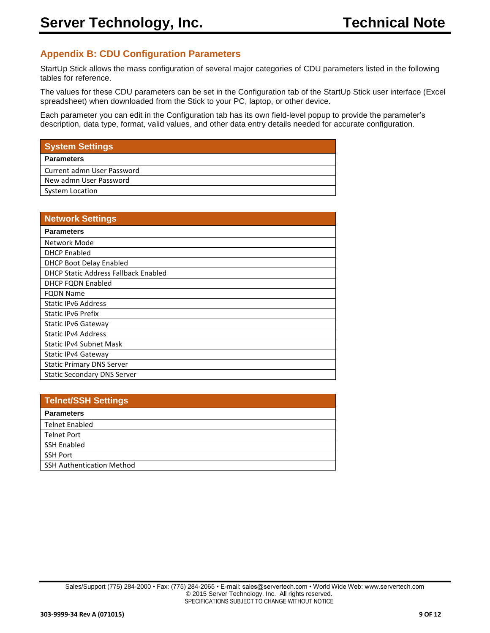## **Appendix B: CDU Configuration Parameters**

StartUp Stick allows the mass configuration of several major categories of CDU parameters listed in the following tables for reference.

The values for these CDU parameters can be set in the Configuration tab of the StartUp Stick user interface (Excel spreadsheet) when downloaded from the Stick to your PC, laptop, or other device.

Each parameter you can edit in the Configuration tab has its own field-level popup to provide the parameter's description, data type, format, valid values, and other data entry details needed for accurate configuration.

| <b>Network Settings</b>              |
|--------------------------------------|
| <b>Parameters</b>                    |
| Network Mode                         |
| <b>DHCP Enabled</b>                  |
| <b>DHCP Boot Delay Enabled</b>       |
| DHCP Static Address Fallback Enabled |
| DHCP FQDN Enabled                    |
| <b>FQDN Name</b>                     |
| <b>Static IPv6 Address</b>           |
| <b>Static IPv6 Prefix</b>            |
| Static IPv6 Gateway                  |
| <b>Static IPv4 Address</b>           |
| <b>Static IPv4 Subnet Mask</b>       |
| Static IPv4 Gateway                  |
| <b>Static Primary DNS Server</b>     |
| <b>Static Secondary DNS Server</b>   |

| Telnet/SSH Settings              |
|----------------------------------|
| <b>Parameters</b>                |
| <b>Telnet Enabled</b>            |
| <b>Telnet Port</b>               |
| <b>SSH Enabled</b>               |
| <b>SSH Port</b>                  |
| <b>SSH Authentication Method</b> |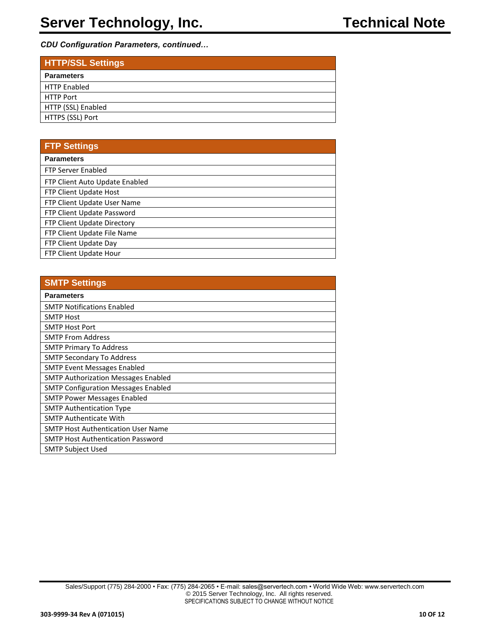*CDU Configuration Parameters, continued…*

| <b>HTTP/SSL Settings</b> |
|--------------------------|
| <b>Parameters</b>        |
| <b>HTTP Enabled</b>      |
| <b>HTTP Port</b>         |
| HTTP (SSL) Enabled       |
| HTTPS (SSL) Port         |
|                          |

## **FTP Settings**

| <b>Parameters</b>              |
|--------------------------------|
| <b>FTP Server Enabled</b>      |
| FTP Client Auto Update Enabled |
| FTP Client Update Host         |
| FTP Client Update User Name    |
| FTP Client Update Password     |
| FTP Client Update Directory    |
| FTP Client Update File Name    |
| FTP Client Update Day          |
| FTP Client Update Hour         |

| <b>SMTP Settings</b>                       |
|--------------------------------------------|
| <b>Parameters</b>                          |
| <b>SMTP Notifications Enabled</b>          |
| <b>SMTP Host</b>                           |
| <b>SMTP Host Port</b>                      |
| <b>SMTP From Address</b>                   |
| <b>SMTP Primary To Address</b>             |
| <b>SMTP Secondary To Address</b>           |
| <b>SMTP Event Messages Enabled</b>         |
| <b>SMTP Authorization Messages Enabled</b> |
| <b>SMTP Configuration Messages Enabled</b> |
| <b>SMTP Power Messages Enabled</b>         |
| <b>SMTP Authentication Type</b>            |
| <b>SMTP Authenticate With</b>              |
| <b>SMTP Host Authentication User Name</b>  |
| <b>SMTP Host Authentication Password</b>   |
| <b>SMTP Subject Used</b>                   |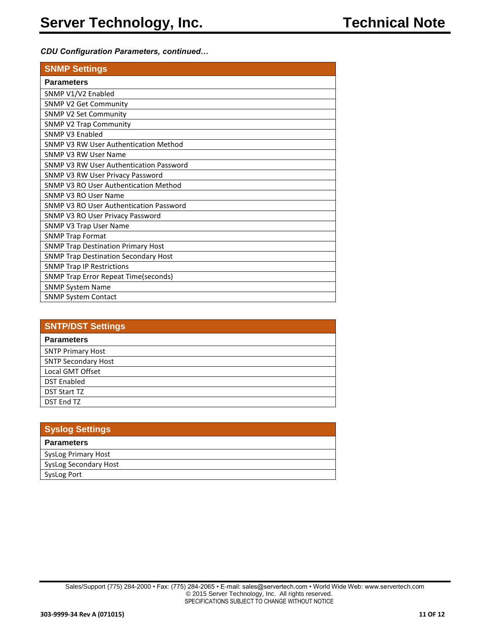#### *CDU Configuration Parameters, continued…*

| <b>SNMP Settings</b>                         |
|----------------------------------------------|
| <b>Parameters</b>                            |
| SNMP V1/V2 Enabled                           |
| <b>SNMP V2 Get Community</b>                 |
| <b>SNMP V2 Set Community</b>                 |
| <b>SNMP V2 Trap Community</b>                |
| SNMP V3 Enabled                              |
| SNMP V3 RW User Authentication Method        |
| SNMP V3 RW User Name                         |
| SNMP V3 RW User Authentication Password      |
| SNMP V3 RW User Privacy Password             |
| SNMP V3 RO User Authentication Method        |
| SNMP V3 RO User Name                         |
| SNMP V3 RO User Authentication Password      |
| SNMP V3 RO User Privacy Password             |
| <b>SNMP V3 Trap User Name</b>                |
| <b>SNMP Trap Format</b>                      |
| <b>SNMP Trap Destination Primary Host</b>    |
| <b>SNMP Trap Destination Secondary Host</b>  |
| <b>SNMP Trap IP Restrictions</b>             |
| <b>SNMP Trap Error Repeat Time (seconds)</b> |
| <b>SNMP System Name</b>                      |
| <b>SNMP System Contact</b>                   |

| <b>SNTP/DST Settings</b>   |
|----------------------------|
| <b>Parameters</b>          |
| <b>SNTP Primary Host</b>   |
| <b>SNTP Secondary Host</b> |
| Local GMT Offset           |
| <b>DST Enabled</b>         |
| <b>DST Start TZ</b>        |
| <b>DST End TZ</b>          |

| Syslog Settings       |
|-----------------------|
| <b>Parameters</b>     |
| SysLog Primary Host   |
| SysLog Secondary Host |
| SysLog Port           |